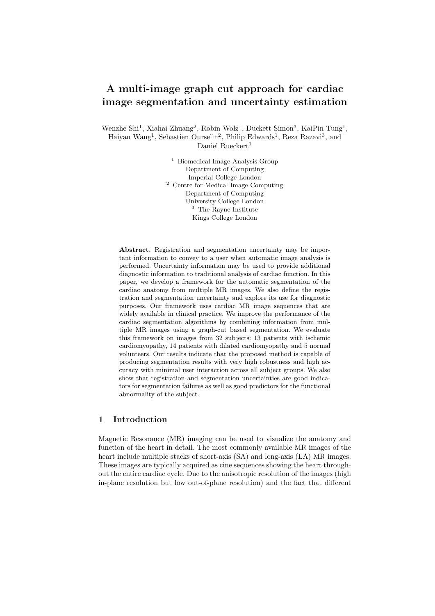# **A multi-image graph cut approach for cardiac image segmentation and uncertainty estimation**

Wenzhe Shi<sup>1</sup>, Xiahai Zhuang<sup>2</sup>, Robin Wolz<sup>1</sup>, Duckett Simon<sup>3</sup>, KaiPin Tung<sup>1</sup>, Haiyan Wang<sup>1</sup>, Sebastien Ourselin<sup>2</sup>, Philip Edwards<sup>1</sup>, Reza Razavi<sup>3</sup>, and Daniel Rueckert<sup>1</sup>

> <sup>1</sup> Biomedical Image Analysis Group Department of Computing Imperial College London <sup>2</sup> Centre for Medical Image Computing Department of Computing University College London <sup>3</sup> The Rayne Institute Kings College London

**Abstract.** Registration and segmentation uncertainty may be important information to convey to a user when automatic image analysis is performed. Uncertainty information may be used to provide additional diagnostic information to traditional analysis of cardiac function. In this paper, we develop a framework for the automatic segmentation of the cardiac anatomy from multiple MR images. We also define the registration and segmentation uncertainty and explore its use for diagnostic purposes. Our framework uses cardiac MR image sequences that are widely available in clinical practice. We improve the performance of the cardiac segmentation algorithms by combining information from multiple MR images using a graph-cut based segmentation. We evaluate this framework on images from 32 subjects: 13 patients with ischemic cardiomyopathy, 14 patients with dilated cardiomyopathy and 5 normal volunteers. Our results indicate that the proposed method is capable of producing segmentation results with very high robustness and high accuracy with minimal user interaction across all subject groups. We also show that registration and segmentation uncertainties are good indicators for segmentation failures as well as good predictors for the functional abnormality of the subject.

# **1 Introduction**

Magnetic Resonance (MR) imaging can be used to visualize the anatomy and function of the heart in detail. The most commonly available MR images of the heart include multiple stacks of short-axis (SA) and long-axis (LA) MR images. These images are typically acquired as cine sequences showing the heart throughout the entire cardiac cycle. Due to the anisotropic resolution of the images (high in-plane resolution but low out-of-plane resolution) and the fact that different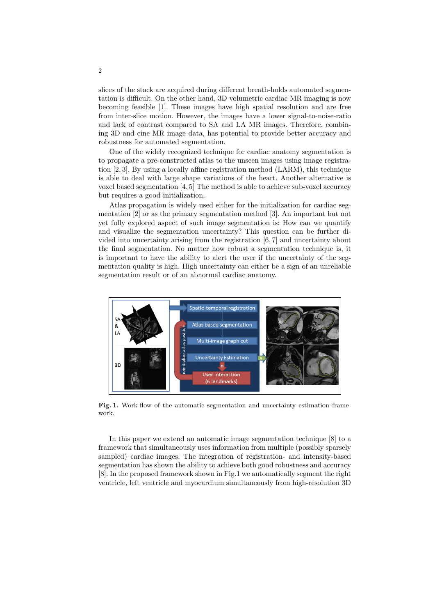slices of the stack are acquired during different breath-holds automated segmentation is difficult. On the other hand, 3D volumetric cardiac MR imaging is now becoming feasible [1]. These images have high spatial resolution and are free from inter-slice motion. However, the images have a lower signal-to-noise-ratio and lack of contrast compared to SA and LA MR images. Therefore, combining 3D and cine MR image data, has potential to provide better accuracy and robustness for automated segmentation.

One of the widely recognized technique for cardiac anatomy segmentation is to propagate a pre-constructed atlas to the unseen images using image registration [2, 3]. By using a locally affine registration method (LARM), this technique is able to deal with large shape variations of the heart. Another alternative is voxel based segmentation [4, 5] The method is able to achieve sub-voxel accuracy but requires a good initialization.

Atlas propagation is widely used either for the initialization for cardiac segmentation [2] or as the primary segmentation method [3]. An important but not yet fully explored aspect of such image segmentation is: How can we quantify and visualize the segmentation uncertainty? This question can be further divided into uncertainty arising from the registration [6, 7] and uncertainty about the final segmentation. No matter how robust a segmentation technique is, it is important to have the ability to alert the user if the uncertainty of the segmentation quality is high. High uncertainty can either be a sign of an unreliable segmentation result or of an abnormal cardiac anatomy.



Fig. 1. Work-flow of the automatic segmentation and uncertainty estimation framework.

In this paper we extend an automatic image segmentation technique [8] to a framework that simultaneously uses information from multiple (possibly sparsely sampled) cardiac images. The integration of registration- and intensity-based segmentation has shown the ability to achieve both good robustness and accuracy [8]. In the proposed framework shown in Fig.1 we automatically segment the right ventricle, left ventricle and myocardium simultaneously from high-resolution 3D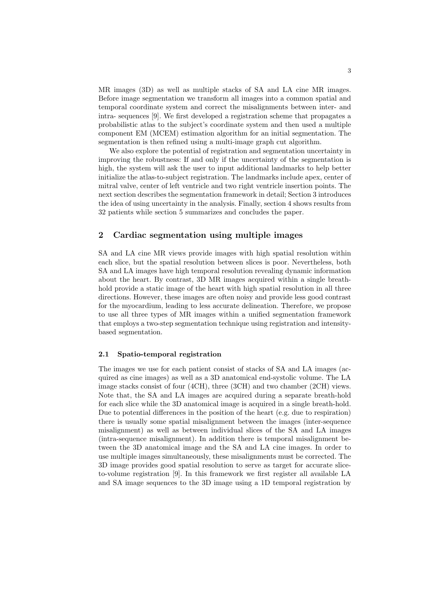MR images (3D) as well as multiple stacks of SA and LA cine MR images. Before image segmentation we transform all images into a common spatial and temporal coordinate system and correct the misalignments between inter- and intra- sequences [9]. We first developed a registration scheme that propagates a probabilistic atlas to the subject's coordinate system and then used a multiple component EM (MCEM) estimation algorithm for an initial segmentation. The segmentation is then refined using a multi-image graph cut algorithm.

We also explore the potential of registration and segmentation uncertainty in improving the robustness: If and only if the uncertainty of the segmentation is high, the system will ask the user to input additional landmarks to help better initialize the atlas-to-subject registration. The landmarks include apex, center of mitral valve, center of left ventricle and two right ventricle insertion points. The next section describes the segmentation framework in detail; Section 3 introduces the idea of using uncertainty in the analysis. Finally, section 4 shows results from 32 patients while section 5 summarizes and concludes the paper.

# **2 Cardiac segmentation using multiple images**

SA and LA cine MR views provide images with high spatial resolution within each slice, but the spatial resolution between slices is poor. Nevertheless, both SA and LA images have high temporal resolution revealing dynamic information about the heart. By contrast, 3D MR images acquired within a single breathhold provide a static image of the heart with high spatial resolution in all three directions. However, these images are often noisy and provide less good contrast for the myocardium, leading to less accurate delineation. Therefore, we propose to use all three types of MR images within a unified segmentation framework that employs a two-step segmentation technique using registration and intensitybased segmentation.

#### **2.1 Spatio-temporal registration**

The images we use for each patient consist of stacks of SA and LA images (acquired as cine images) as well as a 3D anatomical end-systolic volume. The LA image stacks consist of four (4CH), three (3CH) and two chamber (2CH) views. Note that, the SA and LA images are acquired during a separate breath-hold for each slice while the 3D anatomical image is acquired in a single breath-hold. Due to potential differences in the position of the heart (e.g. due to respiration) there is usually some spatial misalignment between the images (inter-sequence misalignment) as well as between individual slices of the SA and LA images (intra-sequence misalignment). In addition there is temporal misalignment between the 3D anatomical image and the SA and LA cine images. In order to use multiple images simultaneously, these misalignments must be corrected. The 3D image provides good spatial resolution to serve as target for accurate sliceto-volume registration [9]. In this framework we first register all available LA and SA image sequences to the 3D image using a 1D temporal registration by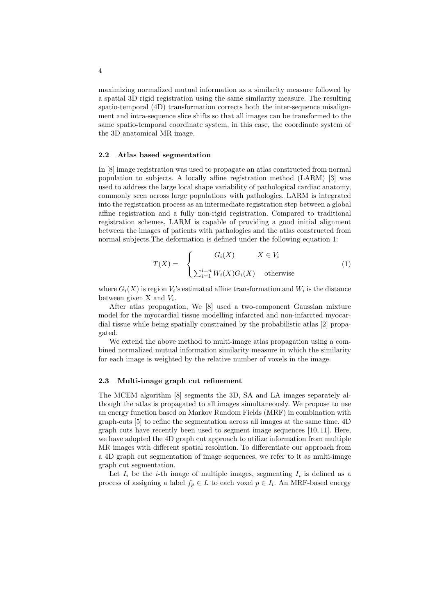maximizing normalized mutual information as a similarity measure followed by a spatial 3D rigid registration using the same similarity measure. The resulting spatio-temporal (4D) transformation corrects both the inter-sequence misalignment and intra-sequence slice shifts so that all images can be transformed to the same spatio-temporal coordinate system, in this case, the coordinate system of the 3D anatomical MR image.

#### **2.2 Atlas based segmentation**

In [8] image registration was used to propagate an atlas constructed from normal population to subjects. A locally affine registration method (LARM) [3] was used to address the large local shape variability of pathological cardiac anatomy, commonly seen across large populations with pathologies. LARM is integrated into the registration process as an intermediate registration step between a global affine registration and a fully non-rigid registration. Compared to traditional registration schemes, LARM is capable of providing a good initial alignment between the images of patients with pathologies and the atlas constructed from normal subjects.The deformation is defined under the following equation 1:

$$
T(X) = \begin{cases} G_i(X) & X \in V_i \\ \sum_{i=1}^{i=n} W_i(X) G_i(X) & \text{otherwise} \end{cases}
$$
 (1)

where  $G_i(X)$  is region  $V_i$ 's estimated affine transformation and  $W_i$  is the distance between given X and *V<sup>i</sup>* .

After atlas propagation, We [8] used a two-component Gaussian mixture model for the myocardial tissue modelling infarcted and non-infarcted myocardial tissue while being spatially constrained by the probabilistic atlas [2] propagated.

We extend the above method to multi-image atlas propagation using a combined normalized mutual information similarity measure in which the similarity for each image is weighted by the relative number of voxels in the image.

#### **2.3 Multi-image graph cut refinement**

The MCEM algorithm [8] segments the 3D, SA and LA images separately although the atlas is propagated to all images simultaneously. We propose to use an energy function based on Markov Random Fields (MRF) in combination with graph-cuts [5] to refine the segmentation across all images at the same time. 4D graph cuts have recently been used to segment image sequences [10, 11]. Here, we have adopted the 4D graph cut approach to utilize information from multiple MR images with different spatial resolution. To differentiate our approach from a 4D graph cut segmentation of image sequences, we refer to it as multi-image graph cut segmentation.

Let  $I_i$  be the *i*-th image of multiple images, segmenting  $I_i$  is defined as a process of assigning a label  $f_p \in L$  to each voxel  $p \in I_i$ . An MRF-based energy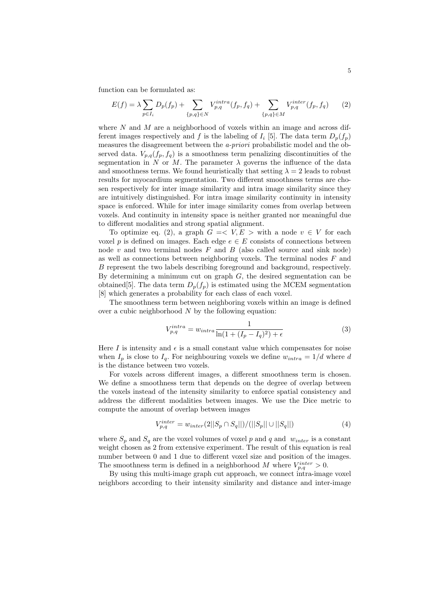function can be formulated as:

$$
E(f) = \lambda \sum_{p \in I_i} D_p(f_p) + \sum_{\{p,q\} \in N} V_{p,q}^{intra}(f_p, f_q) + \sum_{\{p,q\} \in M} V_{p,q}^{inter}(f_p, f_q)
$$
(2)

where *N* and *M* are a neighborhood of voxels within an image and across different images respectively and  $f$  is the labeling of  $I_i$  [5]. The data term  $D_p(f_p)$ measures the disagreement between the *a-priori* probabilistic model and the observed data.  $V_{p,q}(f_p, f_q)$  is a smoothness term penalizing discontinuities of the segmentation in *N* or *M*. The parameter  $\lambda$  governs the influence of the data and smoothness terms. We found heuristically that setting  $\lambda = 2$  leads to robust results for myocardium segmentation. Two different smoothness terms are chosen respectively for inter image similarity and intra image similarity since they are intuitively distinguished. For intra image similarity continuity in intensity space is enforced. While for inter image similarity comes from overlap between voxels. And continuity in intensity space is neither granted nor meaningful due to different modalities and strong spatial alignment.

To optimize eq. (2), a graph  $G = \langle V, E \rangle$  with a node  $v \in V$  for each voxel *p* is defined on images. Each edge  $e \in E$  consists of connections between node  $v$  and two terminal nodes  $F$  and  $B$  (also called source and sink node) as well as connections between neighboring voxels. The terminal nodes *F* and *B* represent the two labels describing foreground and background, respectively. By determining a minimum cut on graph *G*, the desired segmentation can be obtained<sup>[5]</sup>. The data term  $D_p(f_p)$  is estimated using the MCEM segmentation [8] which generates a probability for each class of each voxel.

The smoothness term between neighboring voxels within an image is defined over a cubic neighborhood *N* by the following equation:

$$
V_{p,q}^{intra} = w_{intra} \frac{1}{\ln(1 + (I_p - I_q)^2) + \epsilon} \tag{3}
$$

Here *I* is intensity and  $\epsilon$  is a small constant value which compensates for noise when  $I_p$  is close to  $I_q$ . For neighbouring voxels we define  $w_{intra} = 1/d$  where *d* is the distance between two voxels.

For voxels across different images, a different smoothness term is chosen. We define a smoothness term that depends on the degree of overlap between the voxels instead of the intensity similarity to enforce spatial consistency and address the different modalities between images. We use the Dice metric to compute the amount of overlap between images

$$
V_{p,q}^{inter} = w_{inter}(2||S_p \cap S_q||)/(||S_p|| \cup ||S_q||)
$$
\n(4)

where  $S_p$  and  $S_q$  are the voxel volumes of voxel *p* and *q* and *w*<sub>inter</sub> is a constant weight chosen as 2 from extensive experiment. The result of this equation is real number between 0 and 1 due to different voxel size and position of the images. The smoothness term is defined in a neighborhood *M* where  $V_{p,q}^{inter} > 0$ .

By using this multi-image graph cut approach, we connect intra-image voxel neighbors according to their intensity similarity and distance and inter-image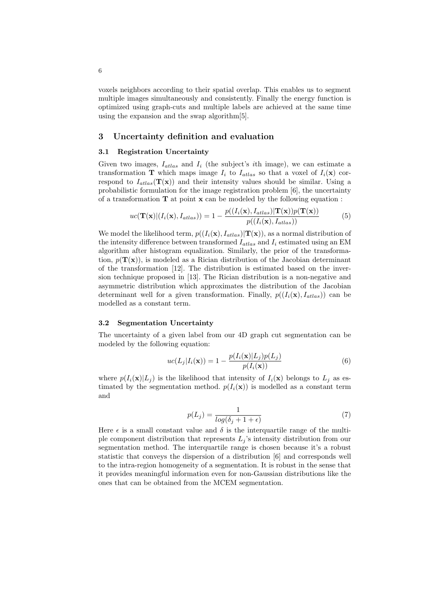voxels neighbors according to their spatial overlap. This enables us to segment multiple images simultaneously and consistently. Finally the energy function is optimized using graph-cuts and multiple labels are achieved at the same time using the expansion and the swap algorithm[5].

#### **3 Uncertainty definition and evaluation**

#### **3.1 Registration Uncertainty**

Given two images, *Iatlas* and *I<sup>i</sup>* (the subject's *i*th image), we can estimate a transformation **T** which maps image  $I_i$  to  $I_{atlas}$  so that a voxel of  $I_i(\mathbf{x})$  correspond to  $I_{atlas}(\mathbf{T}(\mathbf{x}))$  and their intensity values should be similar. Using a probabilistic formulation for the image registration problem [6], the uncertainty of a transformation **T** at point **x** can be modeled by the following equation :

$$
uc(\mathbf{T}(\mathbf{x})|(I_i(\mathbf{x}), I_{atlas})) = 1 - \frac{p((I_i(\mathbf{x}), I_{atlas})|\mathbf{T}(\mathbf{x}))p(\mathbf{T}(\mathbf{x}))}{p((I_i(\mathbf{x}), I_{atlas}))}
$$
(5)

We model the likelihood term,  $p((I_i(\mathbf{x}), I_{atlas})|\mathbf{T}(\mathbf{x}))$ , as a normal distribution of the intensity difference between transformed  $I_{atlas}$  and  $I_i$  estimated using an EM algorithm after histogram equalization. Similarly, the prior of the transformation,  $p(\mathbf{T}(\mathbf{x}))$ , is modeled as a Rician distribution of the Jacobian determinant of the transformation [12]. The distribution is estimated based on the inversion technique proposed in [13]. The Rician distribution is a non-negative and asymmetric distribution which approximates the distribution of the Jacobian determinant well for a given transformation. Finally,  $p((I_i(\mathbf{x}), I_{atlas}))$  can be modelled as a constant term.

#### **3.2 Segmentation Uncertainty**

The uncertainty of a given label from our 4D graph cut segmentation can be modeled by the following equation:

$$
uc(L_j|I_i(\mathbf{x})) = 1 - \frac{p(I_i(\mathbf{x})|L_j)p(L_j)}{p(I_i(\mathbf{x}))}
$$
\n(6)

where  $p(I_i(\mathbf{x})|L_j)$  is the likelihood that intensity of  $I_i(\mathbf{x})$  belongs to  $L_j$  as estimated by the segmentation method.  $p(I_i(\mathbf{x}))$  is modelled as a constant term and

$$
p(L_j) = \frac{1}{log(\delta_j + 1 + \epsilon)}\tag{7}
$$

Here  $\epsilon$  is a small constant value and  $\delta$  is the interquartile range of the multiple component distribution that represents  $L_j$ 's intensity distribution from our segmentation method. The interquartile range is chosen because it's a robust statistic that conveys the dispersion of a distribution [6] and corresponds well to the intra-region homogeneity of a segmentation. It is robust in the sense that it provides meaningful information even for non-Gaussian distributions like the ones that can be obtained from the MCEM segmentation.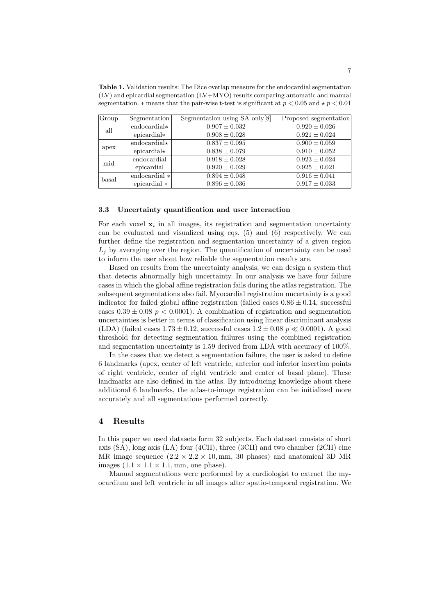**Table 1.** Validation results: The Dice overlap measure for the endocardial segmentation  $(LV)$  and epicardial segmentation  $(LV+MYO)$  results comparing automatic and manual segmentation.  $*$  means that the pair-wise t-test is significant at  $p < 0.05$  and  $* p < 0.01$ 

| Group | Segmentation        | Segmentation using SA only[8] | Proposed segmentation |
|-------|---------------------|-------------------------------|-----------------------|
| all   | endocardial*        | $0.907 \pm 0.032$             | $0.920 \pm 0.026$     |
|       | $epicardial*$       | $0.908 \pm 0.028$             | $0.921 \pm 0.024$     |
| apex  | endocardial $\star$ | $0.837 \pm 0.095$             | $0.900 \pm 0.059$     |
|       | epicardial $\star$  | $0.838 \pm 0.079$             | $0.910 \pm 0.052$     |
| mid   | endocardial         | $0.918 \pm 0.028$             | $0.923 \pm 0.024$     |
|       | epicardial          | $0.920 \pm 0.029$             | $0.925 \pm 0.021$     |
| basal | endocardial *       | $0.894 \pm 0.048$             | $0.916 \pm 0.041$     |
|       | epicardial *        | $0.896 \pm 0.036$             | $0.917 \pm 0.033$     |

#### **3.3 Uncertainty quantification and user interaction**

For each voxel  $x_i$  in all images, its registration and segmentation uncertainty can be evaluated and visualized using eqs. (5) and (6) respectively. We can further define the registration and segmentation uncertainty of a given region  $L_i$  by averaging over the region. The quantification of uncertainty can be used to inform the user about how reliable the segmentation results are.

Based on results from the uncertainty analysis, we can design a system that that detects abnormally high uncertainty. In our analysis we have four failure cases in which the global affine registration fails during the atlas registration. The subsequent segmentations also fail. Myocardial registration uncertainty is a good indicator for failed global affine registration (failed cases  $0.86 \pm 0.14$ , successful cases  $0.39 \pm 0.08$  *p*  $\lt$  0.0001). A combination of registration and segmentation uncertainties is better in terms of classification using linear discriminant analysis (LDA) (failed cases  $1.73 \pm 0.12$ , successful cases  $1.2 \pm 0.08$  *p*  $\ll 0.0001$ ). A good threshold for detecting segmentation failures using the combined registration and segmentation uncertainty is 1.59 derived from LDA with accuracy of 100%.

In the cases that we detect a segmentation failure, the user is asked to define 6 landmarks (apex, center of left ventricle, anterior and inferior insertion points of right ventricle, center of right ventricle and center of basal plane). These landmarks are also defined in the atlas. By introducing knowledge about these additional 6 landmarks, the atlas-to-image registration can be initialized more accurately and all segmentations performed correctly.

### **4 Results**

In this paper we used datasets form 32 subjects. Each dataset consists of short axis (SA), long axis (LA) four (4CH), three (3CH) and two chamber (2CH) cine MR image sequence  $(2.2 \times 2.2 \times 10, \text{mm}, 30 \text{ phases})$  and anatomical 3D MR images  $(1.1 \times 1.1 \times 1.1, \text{mm})$ , one phase).

Manual segmentations were performed by a cardiologist to extract the myocardium and left ventricle in all images after spatio-temporal registration. We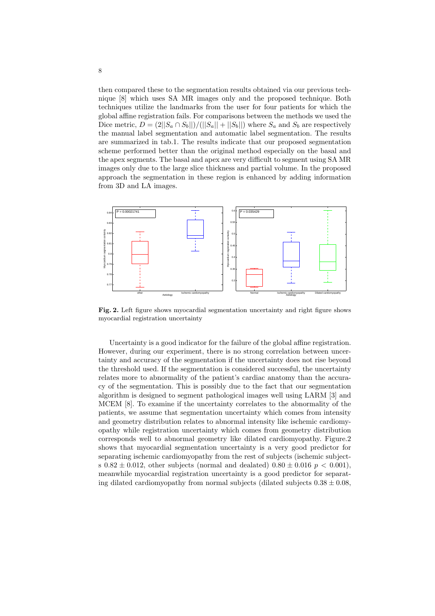then compared these to the segmentation results obtained via our previous technique [8] which uses SA MR images only and the proposed technique. Both techniques utilize the landmarks from the user for four patients for which the global affine registration fails. For comparisons between the methods we used the Dice metric,  $D = (2||S_a \cap S_b||)/(||S_a|| + ||S_b||)$  where  $S_a$  and  $S_b$  are respectively the manual label segmentation and automatic label segmentation. The results are summarized in tab.1. The results indicate that our proposed segmentation scheme performed better than the original method especially on the basal and the apex segments. The basal and apex are very difficult to segment using SA MR images only due to the large slice thickness and partial volume. In the proposed approach the segmentation in these region is enhanced by adding information from 3D and LA images.



**Fig. 2.** Left figure shows myocardial segmentation uncertainty and right figure shows myocardial registration uncertainty

Uncertainty is a good indicator for the failure of the global affine registration. However, during our experiment, there is no strong correlation between uncertainty and accuracy of the segmentation if the uncertainty does not rise beyond the threshold used. If the segmentation is considered successful, the uncertainty relates more to abnormality of the patient's cardiac anatomy than the accuracy of the segmentation. This is possibly due to the fact that our segmentation algorithm is designed to segment pathological images well using LARM [3] and MCEM [8]. To examine if the uncertainty correlates to the abnormality of the patients, we assume that segmentation uncertainty which comes from intensity and geometry distribution relates to abnormal intensity like ischemic cardiomyopathy while registration uncertainty which comes from geometry distribution corresponds well to abnormal geometry like dilated cardiomyopathy. Figure.2 shows that myocardial segmentation uncertainty is a very good predictor for separating ischemic cardiomyopathy from the rest of subjects (ischemic subjects  $0.82 \pm 0.012$ , other subjects (normal and dealated)  $0.80 \pm 0.016$  *p* < 0.001), meanwhile myocardial registration uncertainty is a good predictor for separating dilated cardiomyopathy from normal subjects (dilated subjects  $0.38 \pm 0.08$ ,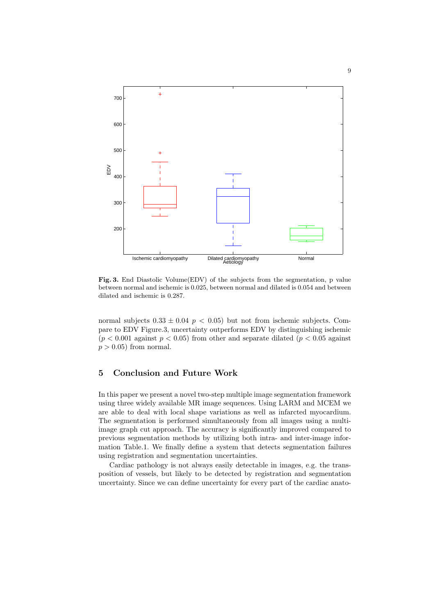

Fig. 3. End Diastolic Volume(EDV) of the subjects from the segmentation, p value between normal and ischemic is 0.025, between normal and dilated is 0.054 and between dilated and ischemic is 0.287.

normal subjects  $0.33 \pm 0.04$  *p* < 0.05) but not from ischemic subjects. Compare to EDV Figure.3, uncertainty outperforms EDV by distinguishing ischemic  $(p < 0.001$  against  $p < 0.05$ ) from other and separate dilated  $(p < 0.05$  against  $p > 0.05$  from normal.

## **5 Conclusion and Future Work**

In this paper we present a novel two-step multiple image segmentation framework using three widely available MR image sequences. Using LARM and MCEM we are able to deal with local shape variations as well as infarcted myocardium. The segmentation is performed simultaneously from all images using a multiimage graph cut approach. The accuracy is significantly improved compared to previous segmentation methods by utilizing both intra- and inter-image information Table.1. We finally define a system that detects segmentation failures using registration and segmentation uncertainties.

Cardiac pathology is not always easily detectable in images, e.g. the transposition of vessels, but likely to be detected by registration and segmentation uncertainty. Since we can define uncertainty for every part of the cardiac anato